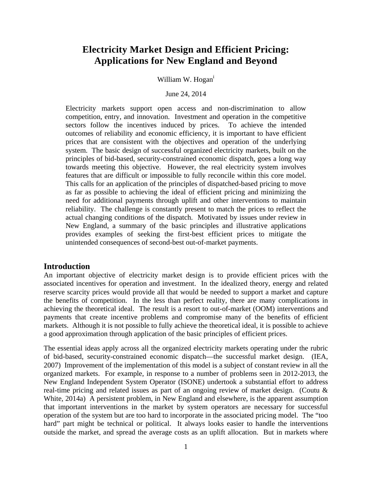# **Electricity Market Design and Efficient Pricing: Applications for New England and Beyond**

William W. Hogan<sup>i</sup>

#### June 24, 2014

Electricity markets support open access and non-discrimination to allow competition, entry, and innovation. Investment and operation in the competitive sectors follow the incentives induced by prices. To achieve the intended outcomes of reliability and economic efficiency, it is important to have efficient prices that are consistent with the objectives and operation of the underlying system. The basic design of successful organized electricity markets, built on the principles of bid-based, security-constrained economic dispatch, goes a long way towards meeting this objective. However, the real electricity system involves features that are difficult or impossible to fully reconcile within this core model. This calls for an application of the principles of dispatched-based pricing to move as far as possible to achieving the ideal of efficient pricing and minimizing the need for additional payments through uplift and other interventions to maintain reliability. The challenge is constantly present to match the prices to reflect the actual changing conditions of the dispatch. Motivated by issues under review in New England, a summary of the basic principles and illustrative applications provides examples of seeking the first-best efficient prices to mitigate the unintended consequences of second-best out-of-market payments.

### **Introduction**

An important objective of electricity market design is to provide efficient prices with the associated incentives for operation and investment. In the idealized theory, energy and related reserve scarcity prices would provide all that would be needed to support a market and capture the benefits of competition. In the less than perfect reality, there are many complications in achieving the theoretical ideal. The result is a resort to out-of-market (OOM) interventions and payments that create incentive problems and compromise many of the benefits of efficient markets. Although it is not possible to fully achieve the theoretical ideal, it is possible to achieve a good approximation through application of the basic principles of efficient prices.

The essential ideas apply across all the organized electricity markets operating under the rubric of bid-based, security-constrained economic dispatch—the successful market design. (IEA, 2007) Improvement of the implementation of this model is a subject of constant review in all the organized markets. For example, in response to a number of problems seen in 2012-2013, the New England Independent System Operator (ISONE) undertook a substantial effort to address real-time pricing and related issues as part of an ongoing review of market design. (Coutu & White, 2014a) A persistent problem, in New England and elsewhere, is the apparent assumption that important interventions in the market by system operators are necessary for successful operation of the system but are too hard to incorporate in the associated pricing model. The "too hard" part might be technical or political. It always looks easier to handle the interventions outside the market, and spread the average costs as an uplift allocation. But in markets where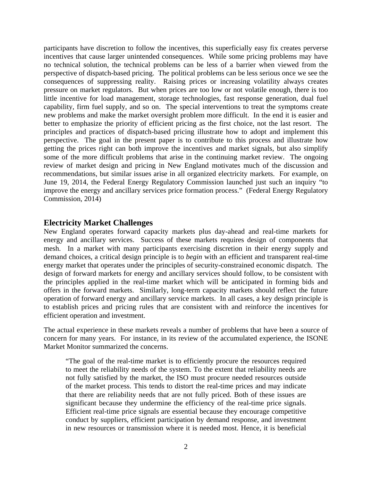participants have discretion to follow the incentives, this superficially easy fix creates perverse incentives that cause larger unintended consequences. While some pricing problems may have no technical solution, the technical problems can be less of a barrier when viewed from the perspective of dispatch-based pricing. The political problems can be less serious once we see the consequences of suppressing reality. Raising prices or increasing volatility always creates pressure on market regulators. But when prices are too low or not volatile enough, there is too little incentive for load management, storage technologies, fast response generation, dual fuel capability, firm fuel supply, and so on. The special interventions to treat the symptoms create new problems and make the market oversight problem more difficult. In the end it is easier and better to emphasize the priority of efficient pricing as the first choice, not the last resort. The principles and practices of dispatch-based pricing illustrate how to adopt and implement this perspective. The goal in the present paper is to contribute to this process and illustrate how getting the prices right can both improve the incentives and market signals, but also simplify some of the more difficult problems that arise in the continuing market review. The ongoing review of market design and pricing in New England motivates much of the discussion and recommendations, but similar issues arise in all organized electricity markets. For example, on June 19, 2014, the Federal Energy Regulatory Commission launched just such an inquiry "to improve the energy and ancillary services price formation process." (Federal Energy Regulatory Commission, 2014)

# **Electricity Market Challenges**

New England operates forward capacity markets plus day-ahead and real-time markets for energy and ancillary services. Success of these markets requires design of components that mesh. In a market with many participants exercising discretion in their energy supply and demand choices, a critical design principle is to *begin* with an efficient and transparent real-time energy market that operates under the principles of security-constrained economic dispatch. The design of forward markets for energy and ancillary services should follow, to be consistent with the principles applied in the real-time market which will be anticipated in forming bids and offers in the forward markets. Similarly, long-term capacity markets should reflect the future operation of forward energy and ancillary service markets. In all cases, a key design principle is to establish prices and pricing rules that are consistent with and reinforce the incentives for efficient operation and investment.

The actual experience in these markets reveals a number of problems that have been a source of concern for many years. For instance, in its review of the accumulated experience, the ISONE Market Monitor summarized the concerns.

"The goal of the real-time market is to efficiently procure the resources required to meet the reliability needs of the system. To the extent that reliability needs are not fully satisfied by the market, the ISO must procure needed resources outside of the market process. This tends to distort the real-time prices and may indicate that there are reliability needs that are not fully priced. Both of these issues are significant because they undermine the efficiency of the real-time price signals. Efficient real-time price signals are essential because they encourage competitive conduct by suppliers, efficient participation by demand response, and investment in new resources or transmission where it is needed most. Hence, it is beneficial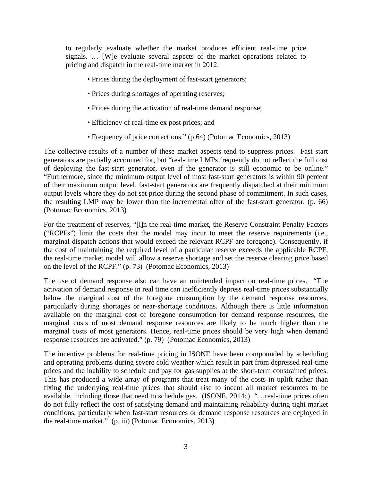to regularly evaluate whether the market produces efficient real-time price signals. … [W]e evaluate several aspects of the market operations related to pricing and dispatch in the real-time market in 2012:

- Prices during the deployment of fast-start generators;
- Prices during shortages of operating reserves;
- Prices during the activation of real-time demand response;
- Efficiency of real-time ex post prices; and
- Frequency of price corrections." (p.64) (Potomac Economics, 2013)

The collective results of a number of these market aspects tend to suppress prices. Fast start generators are partially accounted for, but "real-time LMPs frequently do not reflect the full cost of deploying the fast-start generator, even if the generator is still economic to be online." "Furthermore, since the minimum output level of most fast-start generators is within 90 percent of their maximum output level, fast-start generators are frequently dispatched at their minimum output levels where they do not set price during the second phase of commitment. In such cases, the resulting LMP may be lower than the incremental offer of the fast-start generator. (p. 66) (Potomac Economics, 2013)

For the treatment of reserves, "[i]n the real-time market, the Reserve Constraint Penalty Factors ("RCPFs") limit the costs that the model may incur to meet the reserve requirements (i.e., marginal dispatch actions that would exceed the relevant RCPF are foregone). Consequently, if the cost of maintaining the required level of a particular reserve exceeds the applicable RCPF, the real-time market model will allow a reserve shortage and set the reserve clearing price based on the level of the RCPF." (p. 73) (Potomac Economics, 2013)

The use of demand response also can have an unintended impact on real-time prices. "The activation of demand response in real time can inefficiently depress real-time prices substantially below the marginal cost of the foregone consumption by the demand response resources, particularly during shortages or near-shortage conditions. Although there is little information available on the marginal cost of foregone consumption for demand response resources, the marginal costs of most demand response resources are likely to be much higher than the marginal costs of most generators. Hence, real-time prices should be very high when demand response resources are activated." (p. 79) (Potomac Economics, 2013)

The incentive problems for real-time pricing in ISONE have been compounded by scheduling and operating problems during severe cold weather which result in part from depressed real-time prices and the inability to schedule and pay for gas supplies at the short-term constrained prices. This has produced a wide array of programs that treat many of the costs in uplift rather than fixing the underlying real-time prices that should rise to incent all market resources to be available, including those that need to schedule gas. (ISONE, 2014c) "…real-time prices often do not fully reflect the cost of satisfying demand and maintaining reliability during tight market conditions, particularly when fast-start resources or demand response resources are deployed in the real-time market." (p. iii) (Potomac Economics, 2013)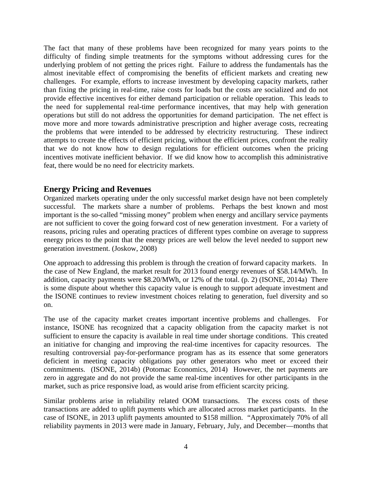The fact that many of these problems have been recognized for many years points to the difficulty of finding simple treatments for the symptoms without addressing cures for the underlying problem of not getting the prices right. Failure to address the fundamentals has the almost inevitable effect of compromising the benefits of efficient markets and creating new challenges. For example, efforts to increase investment by developing capacity markets, rather than fixing the pricing in real-time, raise costs for loads but the costs are socialized and do not provide effective incentives for either demand participation or reliable operation. This leads to the need for supplemental real-time performance incentives, that may help with generation operations but still do not address the opportunities for demand participation. The net effect is move more and more towards administrative prescription and higher average costs, recreating the problems that were intended to be addressed by electricity restructuring. These indirect attempts to create the effects of efficient pricing, without the efficient prices, confront the reality that we do not know how to design regulations for efficient outcomes when the pricing incentives motivate inefficient behavior. If we did know how to accomplish this administrative feat, there would be no need for electricity markets.

## **Energy Pricing and Revenues**

Organized markets operating under the only successful market design have not been completely successful. The markets share a number of problems. Perhaps the best known and most important is the so-called "missing money" problem when energy and ancillary service payments are not sufficient to cover the going forward cost of new generation investment. For a variety of reasons, pricing rules and operating practices of different types combine on average to suppress energy prices to the point that the energy prices are well below the level needed to support new generation investment. (Joskow, 2008)

One approach to addressing this problem is through the creation of forward capacity markets. In the case of New England, the market result for 2013 found energy revenues of \$58.14/MWh. In addition, capacity payments were \$8.20/MWh, or 12% of the total. (p. 2) (ISONE, 2014a) There is some dispute about whether this capacity value is enough to support adequate investment and the ISONE continues to review investment choices relating to generation, fuel diversity and so on.

The use of the capacity market creates important incentive problems and challenges. For instance, ISONE has recognized that a capacity obligation from the capacity market is not sufficient to ensure the capacity is available in real time under shortage conditions. This created an initiative for changing and improving the real-time incentives for capacity resources. The resulting controversial pay-for-performance program has as its essence that some generators deficient in meeting capacity obligations pay other generators who meet or exceed their commitments. (ISONE, 2014b) (Potomac Economics, 2014) However, the net payments are zero in aggregate and do not provide the same real-time incentives for other participants in the market, such as price responsive load, as would arise from efficient scarcity pricing.

Similar problems arise in reliability related OOM transactions. The excess costs of these transactions are added to uplift payments which are allocated across market participants. In the case of ISONE, in 2013 uplift payments amounted to \$158 million. "Approximately 70% of all reliability payments in 2013 were made in January, February, July, and December—months that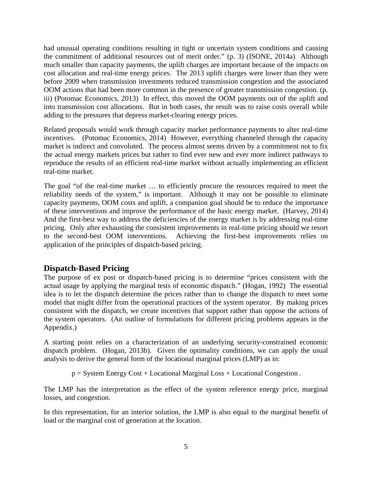had unusual operating conditions resulting in tight or uncertain system conditions and causing the commitment of additional resources out of merit order." (p. 3) (ISONE, 2014a) Although much smaller than capacity payments, the uplift charges are important because of the impacts on cost allocation and real-time energy prices. The 2013 uplift charges were lower than they were before 2009 when transmission investments reduced transmission congestion and the associated OOM actions that had been more common in the presence of greater transmission congestion. (p. iii) (Potomac Economics, 2013) In effect, this moved the OOM payments out of the uplift and into transmission cost allocations. But in both cases, the result was to raise costs overall while adding to the pressures that depress market-clearing energy prices.

Related proposals would work through capacity market performance payments to alter real-time incentives. (Potomac Economics, 2014) However, everything channeled through the capacity market is indirect and convoluted. The process almost seems driven by a commitment not to fix the actual energy markets prices but rather to find ever new and ever more indirect pathways to reproduce the results of an efficient real-time market without actually implementing an efficient real-time market.

The goal "of the real-time market … to efficiently procure the resources required to meet the reliability needs of the system," is important. Although it may not be possible to eliminate capacity payments, OOM costs and uplift, a companion goal should be to reduce the importance of these interventions and improve the performance of the basic energy market. (Harvey, 2014) And the first-best way to address the deficiencies of the energy market is by addressing real-time pricing. Only after exhausting the consistent improvements in real-time pricing should we resort to the second-best OOM interventions. Achieving the first-best improvements relies on application of the principles of dispatch-based pricing.

# **Dispatch-Based Pricing**

The purpose of ex post or dispatch-based pricing is to determine "prices consistent with the actual usage by applying the marginal tests of economic dispatch." (Hogan, 1992) The essential idea is to let the dispatch determine the prices rather than to change the dispatch to meet some model that might differ from the operational practices of the system operator. By making prices consistent with the dispatch, we create incentives that support rather than oppose the actions of the system operators. (An outline of formulations for different pricing problems appears in the Appendix.)

A starting point relies on a characterization of an underlying security-constrained economic dispatch problem. (Hogan, 2013b). Given the optimality conditions, we can apply the usual analysis to derive the general form of the locational marginal prices (LMP) as in:

p = System Energy Cost + Locational Marginal Loss + Locational Congestion .

The LMP has the interpretation as the effect of the system reference energy price, marginal losses, and congestion.

In this representation, for an interior solution, the LMP is also equal to the marginal benefit of load or the marginal cost of generation at the location.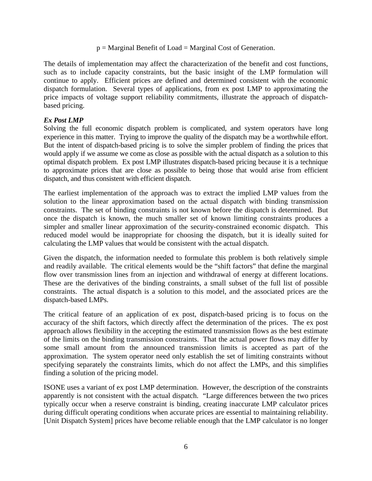### $p =$  Marginal Benefit of Load = Marginal Cost of Generation.

The details of implementation may affect the characterization of the benefit and cost functions, such as to include capacity constraints, but the basic insight of the LMP formulation will continue to apply. Efficient prices are defined and determined consistent with the economic dispatch formulation. Several types of applications, from ex post LMP to approximating the price impacts of voltage support reliability commitments, illustrate the approach of dispatchbased pricing.

## *Ex Post LMP*

Solving the full economic dispatch problem is complicated, and system operators have long experience in this matter. Trying to improve the quality of the dispatch may be a worthwhile effort. But the intent of dispatch-based pricing is to solve the simpler problem of finding the prices that would apply if we assume we come as close as possible with the actual dispatch as a solution to this optimal dispatch problem. Ex post LMP illustrates dispatch-based pricing because it is a technique to approximate prices that are close as possible to being those that would arise from efficient dispatch, and thus consistent with efficient dispatch.

The earliest implementation of the approach was to extract the implied LMP values from the solution to the linear approximation based on the actual dispatch with binding transmission constraints. The set of binding constraints is not known before the dispatch is determined. But once the dispatch is known, the much smaller set of known limiting constraints produces a simpler and smaller linear approximation of the security-constrained economic dispatch. This reduced model would be inappropriate for choosing the dispatch, but it is ideally suited for calculating the LMP values that would be consistent with the actual dispatch.

Given the dispatch, the information needed to formulate this problem is both relatively simple and readily available. The critical elements would be the "shift factors" that define the marginal flow over transmission lines from an injection and withdrawal of energy at different locations. These are the derivatives of the binding constraints, a small subset of the full list of possible constraints. The actual dispatch is a solution to this model, and the associated prices are the dispatch-based LMPs.

The critical feature of an application of ex post, dispatch-based pricing is to focus on the accuracy of the shift factors, which directly affect the determination of the prices. The ex post approach allows flexibility in the accepting the estimated transmission flows as the best estimate of the limits on the binding transmission constraints. That the actual power flows may differ by some small amount from the announced transmission limits is accepted as part of the approximation. The system operator need only establish the set of limiting constraints without specifying separately the constraints limits, which do not affect the LMPs, and this simplifies finding a solution of the pricing model.

ISONE uses a variant of ex post LMP determination. However, the description of the constraints apparently is not consistent with the actual dispatch. "Large differences between the two prices typically occur when a reserve constraint is binding, creating inaccurate LMP calculator prices during difficult operating conditions when accurate prices are essential to maintaining reliability. [Unit Dispatch System] prices have become reliable enough that the LMP calculator is no longer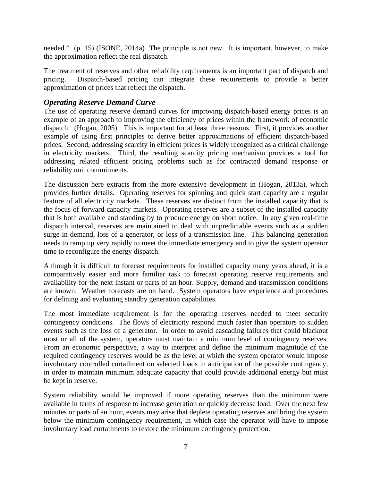needed." (p. 15) (ISONE, 2014a) The principle is not new. It is important, however, to make the approximation reflect the real dispatch.

The treatment of reserves and other reliability requirements is an important part of dispatch and pricing. Dispatch-based pricing can integrate these requirements to provide a better approximation of prices that reflect the dispatch.

# *Operating Reserve Demand Curve*

The use of operating reserve demand curves for improving dispatch-based energy prices is an example of an approach to improving the efficiency of prices within the framework of economic dispatch. (Hogan, 2005) This is important for at least three reasons. First, it provides another example of using first principles to derive better approximations of efficient dispatch-based prices. Second, addressing scarcity in efficient prices is widely recognized as a critical challenge in electricity markets. Third, the resulting scarcity pricing mechanism provides a tool for addressing related efficient pricing problems such as for contracted demand response or reliability unit commitments.

The discussion here extracts from the more extensive development in (Hogan, 2013a), which provides further details. Operating reserves for spinning and quick start capacity are a regular feature of all electricity markets. These reserves are distinct from the installed capacity that is the focus of forward capacity markets. Operating reserves are a subset of the installed capacity that is both available and standing by to produce energy on short notice. In any given real-time dispatch interval, reserves are maintained to deal with unpredictable events such as a sudden surge in demand, loss of a generator, or loss of a transmission line. This balancing generation needs to ramp up very rapidly to meet the immediate emergency and to give the system operator time to reconfigure the energy dispatch.

Although it is difficult to forecast requirements for installed capacity many years ahead, it is a comparatively easier and more familiar task to forecast operating reserve requirements and availability for the next instant or parts of an hour. Supply, demand and transmission conditions are known. Weather forecasts are on hand. System operators have experience and procedures for defining and evaluating standby generation capabilities.

The most immediate requirement is for the operating reserves needed to meet security contingency conditions. The flows of electricity respond much faster than operators to sudden events such as the loss of a generator. In order to avoid cascading failures that could blackout most or all of the system, operators must maintain a minimum level of contingency reserves. From an economic perspective, a way to interpret and define the minimum magnitude of the required contingency reserves would be as the level at which the system operator would impose involuntary controlled curtailment on selected loads in anticipation of the possible contingency, in order to maintain minimum adequate capacity that could provide additional energy but must be kept in reserve.

System reliability would be improved if more operating reserves than the minimum were available in terms of response to increase generation or quickly decrease load. Over the next few minutes or parts of an hour, events may arise that deplete operating reserves and bring the system below the minimum contingency requirement, in which case the operator will have to impose involuntary load curtailments to restore the minimum contingency protection.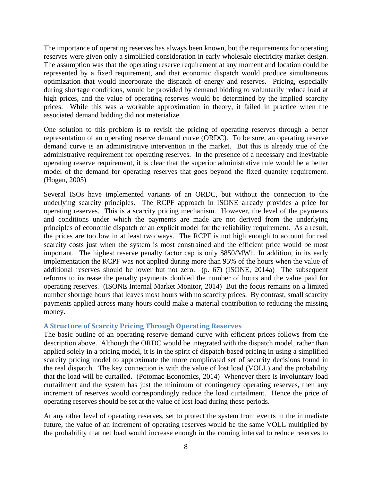The importance of operating reserves has always been known, but the requirements for operating reserves were given only a simplified consideration in early wholesale electricity market design. The assumption was that the operating reserve requirement at any moment and location could be represented by a fixed requirement, and that economic dispatch would produce simultaneous optimization that would incorporate the dispatch of energy and reserves. Pricing, especially during shortage conditions, would be provided by demand bidding to voluntarily reduce load at high prices, and the value of operating reserves would be determined by the implied scarcity prices. While this was a workable approximation in theory, it failed in practice when the associated demand bidding did not materialize.

One solution to this problem is to revisit the pricing of operating reserves through a better representation of an operating reserve demand curve (ORDC). To be sure, an operating reserve demand curve is an administrative intervention in the market. But this is already true of the administrative requirement for operating reserves. In the presence of a necessary and inevitable operating reserve requirement, it is clear that the superior administrative rule would be a better model of the demand for operating reserves that goes beyond the fixed quantity requirement. (Hogan, 2005)

Several ISOs have implemented variants of an ORDC, but without the connection to the underlying scarcity principles. The RCPF approach in ISONE already provides a price for operating reserves. This is a scarcity pricing mechanism. However, the level of the payments and conditions under which the payments are made are not derived from the underlying principles of economic dispatch or an explicit model for the reliability requirement. As a result, the prices are too low in at least two ways. The RCPF is not high enough to account for real scarcity costs just when the system is most constrained and the efficient price would be most important. The highest reserve penalty factor cap is only \$850/MWh. In addition, in its early implementation the RCPF was not applied during more than 95% of the hours when the value of additional reserves should be lower but not zero. (p. 67) (ISONE, 2014a) The subsequent reforms to increase the penalty payments doubled the number of hours and the value paid for operating reserves. (ISONE Internal Market Monitor, 2014) But the focus remains on a limited number shortage hours that leaves most hours with no scarcity prices. By contrast, small scarcity payments applied across many hours could make a material contribution to reducing the missing money.

### **A Structure of Scarcity Pricing Through Operating Reserves**

The basic outline of an operating reserve demand curve with efficient prices follows from the description above. Although the ORDC would be integrated with the dispatch model, rather than applied solely in a pricing model, it is in the spirit of dispatch-based pricing in using a simplified scarcity pricing model to approximate the more complicated set of security decisions found in the real dispatch. The key connection is with the value of lost load (VOLL) and the probability that the load will be curtailed. (Potomac Economics, 2014) Whenever there is involuntary load curtailment and the system has just the minimum of contingency operating reserves, then any increment of reserves would correspondingly reduce the load curtailment. Hence the price of operating reserves should be set at the value of lost load during these periods.

At any other level of operating reserves, set to protect the system from events in the immediate future, the value of an increment of operating reserves would be the same VOLL multiplied by the probability that net load would increase enough in the coming interval to reduce reserves to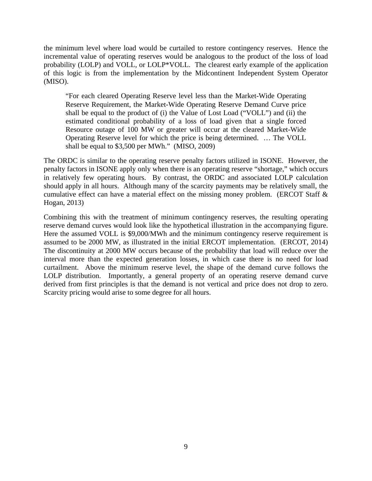the minimum level where load would be curtailed to restore contingency reserves. Hence the incremental value of operating reserves would be analogous to the product of the loss of load probability (LOLP) and VOLL, or LOLP\*VOLL. The clearest early example of the application of this logic is from the implementation by the Midcontinent Independent System Operator (MISO).

"For each cleared Operating Reserve level less than the Market-Wide Operating Reserve Requirement, the Market-Wide Operating Reserve Demand Curve price shall be equal to the product of (i) the Value of Lost Load ("VOLL") and (ii) the estimated conditional probability of a loss of load given that a single forced Resource outage of 100 MW or greater will occur at the cleared Market-Wide Operating Reserve level for which the price is being determined. … The VOLL shall be equal to \$3,500 per MWh." (MISO, 2009)

The ORDC is similar to the operating reserve penalty factors utilized in ISONE. However, the penalty factors in ISONE apply only when there is an operating reserve "shortage," which occurs in relatively few operating hours. By contrast, the ORDC and associated LOLP calculation should apply in all hours. Although many of the scarcity payments may be relatively small, the cumulative effect can have a material effect on the missing money problem. (ERCOT Staff & Hogan, 2013)

Combining this with the treatment of minimum contingency reserves, the resulting operating reserve demand curves would look like the hypothetical illustration in the accompanying figure. Here the assumed VOLL is \$9,000/MWh and the minimum contingency reserve requirement is assumed to be 2000 MW, as illustrated in the initial ERCOT implementation. (ERCOT, 2014) The discontinuity at 2000 MW occurs because of the probability that load will reduce over the interval more than the expected generation losses, in which case there is no need for load curtailment. Above the minimum reserve level, the shape of the demand curve follows the LOLP distribution. Importantly, a general property of an operating reserve demand curve derived from first principles is that the demand is not vertical and price does not drop to zero. Scarcity pricing would arise to some degree for all hours.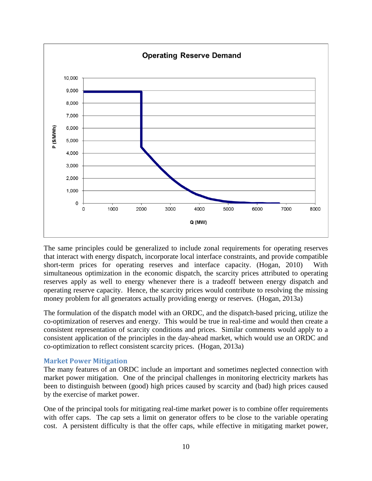

The same principles could be generalized to include zonal requirements for operating reserves that interact with energy dispatch, incorporate local interface constraints, and provide compatible short-term prices for operating reserves and interface capacity. (Hogan,  $2010$ ) simultaneous optimization in the economic dispatch, the scarcity prices attributed to operating reserves apply as well to energy whenever there is a tradeoff between energy dispatch and operating reserve capacity. Hence, the scarcity prices would contribute to resolving the missing money problem for all generators actually providing energy or reserves. (Hogan, 2013a)

The formulation of the dispatch model with an ORDC, and the dispatch-based pricing, utilize the co-optimization of reserves and energy. This would be true in real-time and would then create a consistent representation of scarcity conditions and prices. Similar comments would apply to a consistent application of the principles in the day-ahead market, which would use an ORDC and co-optimization to reflect consistent scarcity prices. (Hogan, 2013a)

### **Market Power Mitigation**

The many features of an ORDC include an important and sometimes neglected connection with market power mitigation. One of the principal challenges in monitoring electricity markets has been to distinguish between (good) high prices caused by scarcity and (bad) high prices caused by the exercise of market power.

One of the principal tools for mitigating real-time market power is to combine offer requirements with offer caps. The cap sets a limit on generator offers to be close to the variable operating cost. A persistent difficulty is that the offer caps, while effective in mitigating market power,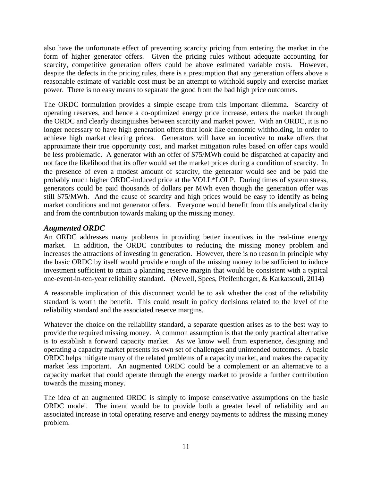also have the unfortunate effect of preventing scarcity pricing from entering the market in the form of higher generator offers. Given the pricing rules without adequate accounting for scarcity, competitive generation offers could be above estimated variable costs. However, despite the defects in the pricing rules, there is a presumption that any generation offers above a reasonable estimate of variable cost must be an attempt to withhold supply and exercise market power. There is no easy means to separate the good from the bad high price outcomes.

The ORDC formulation provides a simple escape from this important dilemma. Scarcity of operating reserves, and hence a co-optimized energy price increase, enters the market through the ORDC and clearly distinguishes between scarcity and market power. With an ORDC, it is no longer necessary to have high generation offers that look like economic withholding, in order to achieve high market clearing prices. Generators will have an incentive to make offers that approximate their true opportunity cost, and market mitigation rules based on offer caps would be less problematic. A generator with an offer of \$75/MWh could be dispatched at capacity and not face the likelihood that its offer would set the market prices during a condition of scarcity. In the presence of even a modest amount of scarcity, the generator would see and be paid the probably much higher ORDC-induced price at the VOLL\*LOLP. During times of system stress, generators could be paid thousands of dollars per MWh even though the generation offer was still \$75/MWh. And the cause of scarcity and high prices would be easy to identify as being market conditions and not generator offers. Everyone would benefit from this analytical clarity and from the contribution towards making up the missing money.

# *Augmented ORDC*

An ORDC addresses many problems in providing better incentives in the real-time energy market. In addition, the ORDC contributes to reducing the missing money problem and increases the attractions of investing in generation. However, there is no reason in principle why the basic ORDC by itself would provide enough of the missing money to be sufficient to induce investment sufficient to attain a planning reserve margin that would be consistent with a typical one-event-in-ten-year reliability standard. (Newell, Spees, Pfeifenberger, & Karkatsouli, 2014)

A reasonable implication of this disconnect would be to ask whether the cost of the reliability standard is worth the benefit. This could result in policy decisions related to the level of the reliability standard and the associated reserve margins.

Whatever the choice on the reliability standard, a separate question arises as to the best way to provide the required missing money. A common assumption is that the only practical alternative is to establish a forward capacity market. As we know well from experience, designing and operating a capacity market presents its own set of challenges and unintended outcomes. A basic ORDC helps mitigate many of the related problems of a capacity market, and makes the capacity market less important. An augmented ORDC could be a complement or an alternative to a capacity market that could operate through the energy market to provide a further contribution towards the missing money.

The idea of an augmented ORDC is simply to impose conservative assumptions on the basic ORDC model. The intent would be to provide both a greater level of reliability and an associated increase in total operating reserve and energy payments to address the missing money problem.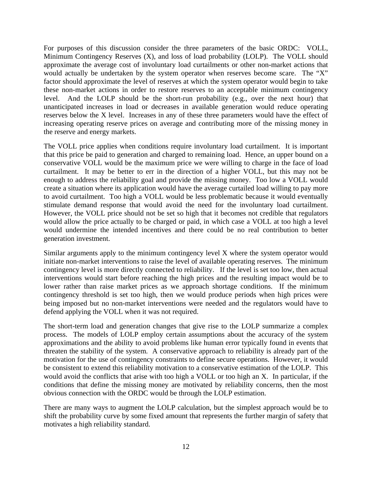For purposes of this discussion consider the three parameters of the basic ORDC: VOLL, Minimum Contingency Reserves (X), and loss of load probability (LOLP). The VOLL should approximate the average cost of involuntary load curtailments or other non-market actions that would actually be undertaken by the system operator when reserves become scare. The "X" factor should approximate the level of reserves at which the system operator would begin to take these non-market actions in order to restore reserves to an acceptable minimum contingency level. And the LOLP should be the short-run probability (e.g., over the next hour) that unanticipated increases in load or decreases in available generation would reduce operating reserves below the X level. Increases in any of these three parameters would have the effect of increasing operating reserve prices on average and contributing more of the missing money in the reserve and energy markets.

The VOLL price applies when conditions require involuntary load curtailment. It is important that this price be paid to generation and charged to remaining load. Hence, an upper bound on a conservative VOLL would be the maximum price we were willing to charge in the face of load curtailment. It may be better to err in the direction of a higher VOLL, but this may not be enough to address the reliability goal and provide the missing money. Too low a VOLL would create a situation where its application would have the average curtailed load willing to pay more to avoid curtailment. Too high a VOLL would be less problematic because it would eventually stimulate demand response that would avoid the need for the involuntary load curtailment. However, the VOLL price should not be set so high that it becomes not credible that regulators would allow the price actually to be charged or paid, in which case a VOLL at too high a level would undermine the intended incentives and there could be no real contribution to better generation investment.

Similar arguments apply to the minimum contingency level X where the system operator would initiate non-market interventions to raise the level of available operating reserves. The minimum contingency level is more directly connected to reliability. If the level is set too low, then actual interventions would start before reaching the high prices and the resulting impact would be to lower rather than raise market prices as we approach shortage conditions. If the minimum contingency threshold is set too high, then we would produce periods when high prices were being imposed but no non-market interventions were needed and the regulators would have to defend applying the VOLL when it was not required.

The short-term load and generation changes that give rise to the LOLP summarize a complex process. The models of LOLP employ certain assumptions about the accuracy of the system approximations and the ability to avoid problems like human error typically found in events that threaten the stability of the system. A conservative approach to reliability is already part of the motivation for the use of contingency constraints to define secure operations. However, it would be consistent to extend this reliability motivation to a conservative estimation of the LOLP. This would avoid the conflicts that arise with too high a VOLL or too high an X. In particular, if the conditions that define the missing money are motivated by reliability concerns, then the most obvious connection with the ORDC would be through the LOLP estimation.

There are many ways to augment the LOLP calculation, but the simplest approach would be to shift the probability curve by some fixed amount that represents the further margin of safety that motivates a high reliability standard.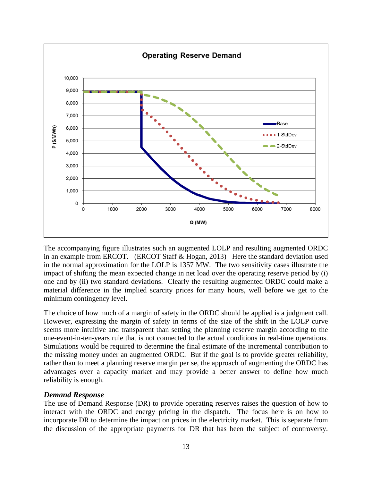

The accompanying figure illustrates such an augmented LOLP and resulting augmented ORDC in an example from ERCOT. (ERCOT Staff & Hogan, 2013) Here the standard deviation used in the normal approximation for the LOLP is 1357 MW. The two sensitivity cases illustrate the impact of shifting the mean expected change in net load over the operating reserve period by (i) one and by (ii) two standard deviations. Clearly the resulting augmented ORDC could make a material difference in the implied scarcity prices for many hours, well before we get to the minimum contingency level.

The choice of how much of a margin of safety in the ORDC should be applied is a judgment call. However, expressing the margin of safety in terms of the size of the shift in the LOLP curve seems more intuitive and transparent than setting the planning reserve margin according to the one-event-in-ten-years rule that is not connected to the actual conditions in real-time operations. Simulations would be required to determine the final estimate of the incremental contribution to the missing money under an augmented ORDC. But if the goal is to provide greater reliability, rather than to meet a planning reserve margin per se, the approach of augmenting the ORDC has advantages over a capacity market and may provide a better answer to define how much reliability is enough.

### *Demand Response*

The use of Demand Response (DR) to provide operating reserves raises the question of how to interact with the ORDC and energy pricing in the dispatch. The focus here is on how to incorporate DR to determine the impact on prices in the electricity market. This is separate from the discussion of the appropriate payments for DR that has been the subject of controversy.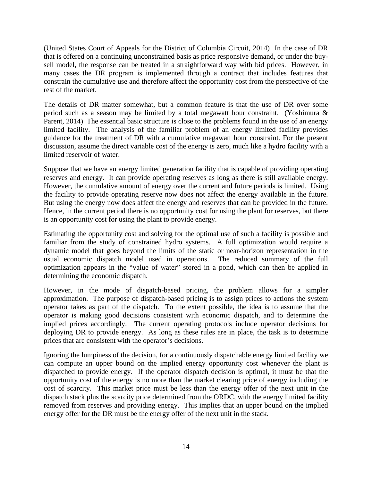(United States Court of Appeals for the District of Columbia Circuit, 2014) In the case of DR that is offered on a continuing unconstrained basis as price responsive demand, or under the buysell model, the response can be treated in a straightforward way with bid prices. However, in many cases the DR program is implemented through a contract that includes features that constrain the cumulative use and therefore affect the opportunity cost from the perspective of the rest of the market.

The details of DR matter somewhat, but a common feature is that the use of DR over some period such as a season may be limited by a total megawatt hour constraint. (Yoshimura & Parent, 2014) The essential basic structure is close to the problems found in the use of an energy limited facility. The analysis of the familiar problem of an energy limited facility provides guidance for the treatment of DR with a cumulative megawatt hour constraint. For the present discussion, assume the direct variable cost of the energy is zero, much like a hydro facility with a limited reservoir of water.

Suppose that we have an energy limited generation facility that is capable of providing operating reserves and energy. It can provide operating reserves as long as there is still available energy. However, the cumulative amount of energy over the current and future periods is limited. Using the facility to provide operating reserve now does not affect the energy available in the future. But using the energy now does affect the energy and reserves that can be provided in the future. Hence, in the current period there is no opportunity cost for using the plant for reserves, but there is an opportunity cost for using the plant to provide energy.

Estimating the opportunity cost and solving for the optimal use of such a facility is possible and familiar from the study of constrained hydro systems. A full optimization would require a dynamic model that goes beyond the limits of the static or near-horizon representation in the usual economic dispatch model used in operations. The reduced summary of the full optimization appears in the "value of water" stored in a pond, which can then be applied in determining the economic dispatch.

However, in the mode of dispatch-based pricing, the problem allows for a simpler approximation. The purpose of dispatch-based pricing is to assign prices to actions the system operator takes as part of the dispatch. To the extent possible, the idea is to assume that the operator is making good decisions consistent with economic dispatch, and to determine the implied prices accordingly. The current operating protocols include operator decisions for deploying DR to provide energy. As long as these rules are in place, the task is to determine prices that are consistent with the operator's decisions.

Ignoring the lumpiness of the decision, for a continuously dispatchable energy limited facility we can compute an upper bound on the implied energy opportunity cost whenever the plant is dispatched to provide energy. If the operator dispatch decision is optimal, it must be that the opportunity cost of the energy is no more than the market clearing price of energy including the cost of scarcity. This market price must be less than the energy offer of the next unit in the dispatch stack plus the scarcity price determined from the ORDC, with the energy limited facility removed from reserves and providing energy. This implies that an upper bound on the implied energy offer for the DR must be the energy offer of the next unit in the stack.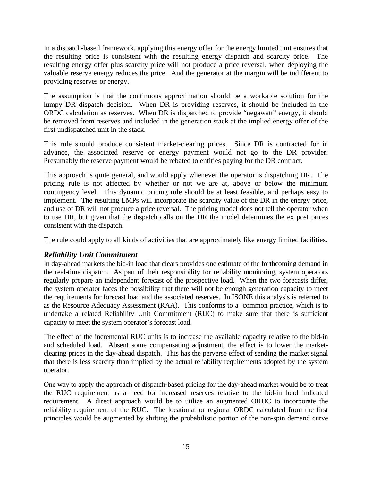In a dispatch-based framework, applying this energy offer for the energy limited unit ensures that the resulting price is consistent with the resulting energy dispatch and scarcity price. The resulting energy offer plus scarcity price will not produce a price reversal, when deploying the valuable reserve energy reduces the price. And the generator at the margin will be indifferent to providing reserves or energy.

The assumption is that the continuous approximation should be a workable solution for the lumpy DR dispatch decision. When DR is providing reserves, it should be included in the ORDC calculation as reserves. When DR is dispatched to provide "negawatt" energy, it should be removed from reserves and included in the generation stack at the implied energy offer of the first undispatched unit in the stack.

This rule should produce consistent market-clearing prices. Since DR is contracted for in advance, the associated reserve or energy payment would not go to the DR provider. Presumably the reserve payment would be rebated to entities paying for the DR contract.

This approach is quite general, and would apply whenever the operator is dispatching DR. The pricing rule is not affected by whether or not we are at, above or below the minimum contingency level. This dynamic pricing rule should be at least feasible, and perhaps easy to implement. The resulting LMPs will incorporate the scarcity value of the DR in the energy price, and use of DR will not produce a price reversal. The pricing model does not tell the operator when to use DR, but given that the dispatch calls on the DR the model determines the ex post prices consistent with the dispatch.

The rule could apply to all kinds of activities that are approximately like energy limited facilities.

# *Reliability Unit Commitment*

In day-ahead markets the bid-in load that clears provides one estimate of the forthcoming demand in the real-time dispatch. As part of their responsibility for reliability monitoring, system operators regularly prepare an independent forecast of the prospective load. When the two forecasts differ, the system operator faces the possibility that there will not be enough generation capacity to meet the requirements for forecast load and the associated reserves. In ISONE this analysis is referred to as the Resource Adequacy Assessment (RAA). This conforms to a common practice, which is to undertake a related Reliability Unit Commitment (RUC) to make sure that there is sufficient capacity to meet the system operator's forecast load.

The effect of the incremental RUC units is to increase the available capacity relative to the bid-in and scheduled load. Absent some compensating adjustment, the effect is to lower the marketclearing prices in the day-ahead dispatch. This has the perverse effect of sending the market signal that there is less scarcity than implied by the actual reliability requirements adopted by the system operator.

One way to apply the approach of dispatch-based pricing for the day-ahead market would be to treat the RUC requirement as a need for increased reserves relative to the bid-in load indicated requirement. A direct approach would be to utilize an augmented ORDC to incorporate the reliability requirement of the RUC. The locational or regional ORDC calculated from the first principles would be augmented by shifting the probabilistic portion of the non-spin demand curve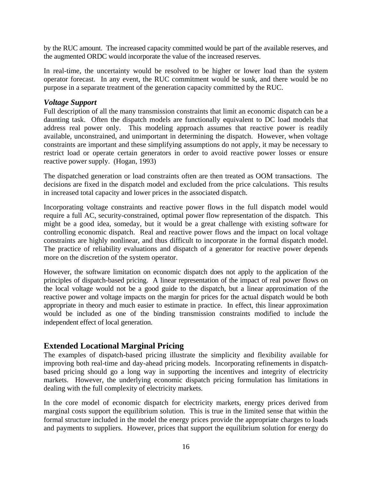by the RUC amount. The increased capacity committed would be part of the available reserves, and the augmented ORDC would incorporate the value of the increased reserves.

In real-time, the uncertainty would be resolved to be higher or lower load than the system operator forecast. In any event, the RUC commitment would be sunk, and there would be no purpose in a separate treatment of the generation capacity committed by the RUC.

## *Voltage Support*

Full description of all the many transmission constraints that limit an economic dispatch can be a daunting task. Often the dispatch models are functionally equivalent to DC load models that address real power only. This modeling approach assumes that reactive power is readily available, unconstrained, and unimportant in determining the dispatch. However, when voltage constraints are important and these simplifying assumptions do not apply, it may be necessary to restrict load or operate certain generators in order to avoid reactive power losses or ensure reactive power supply. (Hogan, 1993)

The dispatched generation or load constraints often are then treated as OOM transactions. The decisions are fixed in the dispatch model and excluded from the price calculations. This results in increased total capacity and lower prices in the associated dispatch.

Incorporating voltage constraints and reactive power flows in the full dispatch model would require a full AC, security-constrained, optimal power flow representation of the dispatch. This might be a good idea, someday, but it would be a great challenge with existing software for controlling economic dispatch. Real and reactive power flows and the impact on local voltage constraints are highly nonlinear, and thus difficult to incorporate in the formal dispatch model. The practice of reliability evaluations and dispatch of a generator for reactive power depends more on the discretion of the system operator.

However, the software limitation on economic dispatch does not apply to the application of the principles of dispatch-based pricing. A linear representation of the impact of real power flows on the local voltage would not be a good guide to the dispatch, but a linear approximation of the reactive power and voltage impacts on the margin for prices for the actual dispatch would be both appropriate in theory and much easier to estimate in practice. In effect, this linear approximation would be included as one of the binding transmission constraints modified to include the independent effect of local generation.

# **Extended Locational Marginal Pricing**

The examples of dispatch-based pricing illustrate the simplicity and flexibility available for improving both real-time and day-ahead pricing models. Incorporating refinements in dispatchbased pricing should go a long way in supporting the incentives and integrity of electricity markets. However, the underlying economic dispatch pricing formulation has limitations in dealing with the full complexity of electricity markets.

In the core model of economic dispatch for electricity markets, energy prices derived from marginal costs support the equilibrium solution. This is true in the limited sense that within the formal structure included in the model the energy prices provide the appropriate charges to loads and payments to suppliers. However, prices that support the equilibrium solution for energy do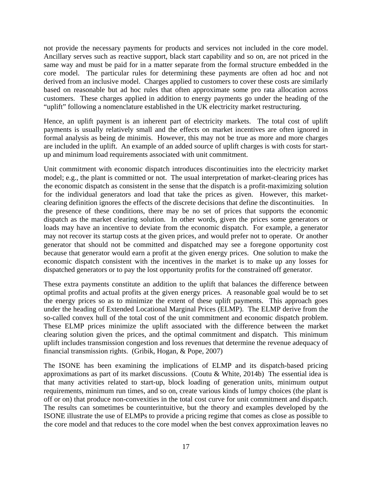not provide the necessary payments for products and services not included in the core model. Ancillary serves such as reactive support, black start capability and so on, are not priced in the same way and must be paid for in a matter separate from the formal structure embedded in the core model. The particular rules for determining these payments are often ad hoc and not derived from an inclusive model. Charges applied to customers to cover these costs are similarly based on reasonable but ad hoc rules that often approximate some pro rata allocation across customers. These charges applied in addition to energy payments go under the heading of the "uplift" following a nomenclature established in the UK electricity market restructuring.

Hence, an uplift payment is an inherent part of electricity markets. The total cost of uplift payments is usually relatively small and the effects on market incentives are often ignored in formal analysis as being de minimis. However, this may not be true as more and more charges are included in the uplift. An example of an added source of uplift charges is with costs for startup and minimum load requirements associated with unit commitment.

Unit commitment with economic dispatch introduces discontinuities into the electricity market model; e.g., the plant is committed or not. The usual interpretation of market-clearing prices has the economic dispatch as consistent in the sense that the dispatch is a profit-maximizing solution for the individual generators and load that take the prices as given. However, this marketclearing definition ignores the effects of the discrete decisions that define the discontinuities. In the presence of these conditions, there may be no set of prices that supports the economic dispatch as the market clearing solution. In other words, given the prices some generators or loads may have an incentive to deviate from the economic dispatch. For example, a generator may not recover its startup costs at the given prices, and would prefer not to operate. Or another generator that should not be committed and dispatched may see a foregone opportunity cost because that generator would earn a profit at the given energy prices. One solution to make the economic dispatch consistent with the incentives in the market is to make up any losses for dispatched generators or to pay the lost opportunity profits for the constrained off generator.

These extra payments constitute an addition to the uplift that balances the difference between optimal profits and actual profits at the given energy prices. A reasonable goal would be to set the energy prices so as to minimize the extent of these uplift payments. This approach goes under the heading of Extended Locational Marginal Prices (ELMP). The ELMP derive from the so-called convex hull of the total cost of the unit commitment and economic dispatch problem. These ELMP prices minimize the uplift associated with the difference between the market clearing solution given the prices, and the optimal commitment and dispatch. This minimum uplift includes transmission congestion and loss revenues that determine the revenue adequacy of financial transmission rights. (Gribik, Hogan, & Pope, 2007)

The ISONE has been examining the implications of ELMP and its dispatch-based pricing approximations as part of its market discussions. (Coutu & White, 2014b) The essential idea is that many activities related to start-up, block loading of generation units, minimum output requirements, minimum run times, and so on, create various kinds of lumpy choices (the plant is off or on) that produce non-convexities in the total cost curve for unit commitment and dispatch. The results can sometimes be counterintuitive, but the theory and examples developed by the ISONE illustrate the use of ELMPs to provide a pricing regime that comes as close as possible to the core model and that reduces to the core model when the best convex approximation leaves no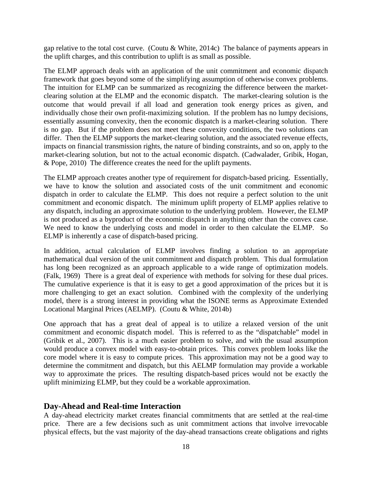gap relative to the total cost curve. (Coutu & White, 2014c) The balance of payments appears in the uplift charges, and this contribution to uplift is as small as possible.

The ELMP approach deals with an application of the unit commitment and economic dispatch framework that goes beyond some of the simplifying assumption of otherwise convex problems. The intuition for ELMP can be summarized as recognizing the difference between the marketclearing solution at the ELMP and the economic dispatch. The market-clearing solution is the outcome that would prevail if all load and generation took energy prices as given, and individually chose their own profit-maximizing solution. If the problem has no lumpy decisions, essentially assuming convexity, then the economic dispatch is a market-clearing solution. There is no gap. But if the problem does not meet these convexity conditions, the two solutions can differ. Then the ELMP supports the market-clearing solution, and the associated revenue effects, impacts on financial transmission rights, the nature of binding constraints, and so on, apply to the market-clearing solution, but not to the actual economic dispatch. (Cadwalader, Gribik, Hogan, & Pope, 2010) The difference creates the need for the uplift payments.

The ELMP approach creates another type of requirement for dispatch-based pricing. Essentially, we have to know the solution and associated costs of the unit commitment and economic dispatch in order to calculate the ELMP. This does not require a perfect solution to the unit commitment and economic dispatch. The minimum uplift property of ELMP applies relative to any dispatch, including an approximate solution to the underlying problem. However, the ELMP is not produced as a byproduct of the economic dispatch in anything other than the convex case. We need to know the underlying costs and model in order to then calculate the ELMP. So ELMP is inherently a case of dispatch-based pricing.

In addition, actual calculation of ELMP involves finding a solution to an appropriate mathematical dual version of the unit commitment and dispatch problem. This dual formulation has long been recognized as an approach applicable to a wide range of optimization models. (Falk, 1969) There is a great deal of experience with methods for solving for these dual prices. The cumulative experience is that it is easy to get a good approximation of the prices but it is more challenging to get an exact solution. Combined with the complexity of the underlying model, there is a strong interest in providing what the ISONE terms as Approximate Extended Locational Marginal Prices (AELMP). (Coutu & White, 2014b)

One approach that has a great deal of appeal is to utilize a relaxed version of the unit commitment and economic dispatch model. This is referred to as the "dispatchable" model in (Gribik et al., 2007). This is a much easier problem to solve, and with the usual assumption would produce a convex model with easy-to-obtain prices. This convex problem looks like the core model where it is easy to compute prices. This approximation may not be a good way to determine the commitment and dispatch, but this AELMP formulation may provide a workable way to approximate the prices. The resulting dispatch-based prices would not be exactly the uplift minimizing ELMP, but they could be a workable approximation.

# **Day-Ahead and Real-time Interaction**

A day-ahead electricity market creates financial commitments that are settled at the real-time price. There are a few decisions such as unit commitment actions that involve irrevocable physical effects, but the vast majority of the day-ahead transactions create obligations and rights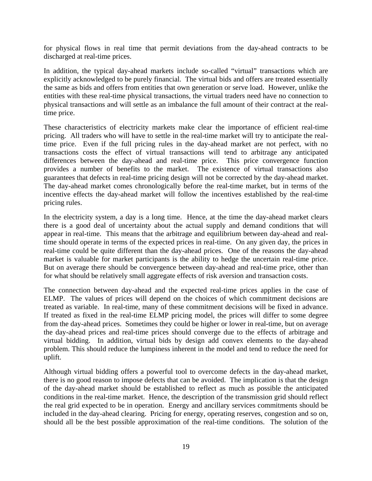for physical flows in real time that permit deviations from the day-ahead contracts to be discharged at real-time prices.

In addition, the typical day-ahead markets include so-called "virtual" transactions which are explicitly acknowledged to be purely financial. The virtual bids and offers are treated essentially the same as bids and offers from entities that own generation or serve load. However, unlike the entities with these real-time physical transactions, the virtual traders need have no connection to physical transactions and will settle as an imbalance the full amount of their contract at the realtime price.

These characteristics of electricity markets make clear the importance of efficient real-time pricing. All traders who will have to settle in the real-time market will try to anticipate the realtime price. Even if the full pricing rules in the day-ahead market are not perfect, with no transactions costs the effect of virtual transactions will tend to arbitrage any anticipated differences between the day-ahead and real-time price. This price convergence function provides a number of benefits to the market. The existence of virtual transactions also guarantees that defects in real-time pricing design will not be corrected by the day-ahead market. The day-ahead market comes chronologically before the real-time market, but in terms of the incentive effects the day-ahead market will follow the incentives established by the real-time pricing rules.

In the electricity system, a day is a long time. Hence, at the time the day-ahead market clears there is a good deal of uncertainty about the actual supply and demand conditions that will appear in real-time. This means that the arbitrage and equilibrium between day-ahead and realtime should operate in terms of the expected prices in real-time. On any given day, the prices in real-time could be quite different than the day-ahead prices. One of the reasons the day-ahead market is valuable for market participants is the ability to hedge the uncertain real-time price. But on average there should be convergence between day-ahead and real-time price, other than for what should be relatively small aggregate effects of risk aversion and transaction costs.

The connection between day-ahead and the expected real-time prices applies in the case of ELMP. The values of prices will depend on the choices of which commitment decisions are treated as variable. In real-time, many of these commitment decisions will be fixed in advance. If treated as fixed in the real-time ELMP pricing model, the prices will differ to some degree from the day-ahead prices. Sometimes they could be higher or lower in real-time, but on average the day-ahead prices and real-time prices should converge due to the effects of arbitrage and virtual bidding. In addition, virtual bids by design add convex elements to the day-ahead problem. This should reduce the lumpiness inherent in the model and tend to reduce the need for uplift.

Although virtual bidding offers a powerful tool to overcome defects in the day-ahead market, there is no good reason to impose defects that can be avoided. The implication is that the design of the day-ahead market should be established to reflect as much as possible the anticipated conditions in the real-time market. Hence, the description of the transmission grid should reflect the real grid expected to be in operation. Energy and ancillary services commitments should be included in the day-ahead clearing. Pricing for energy, operating reserves, congestion and so on, should all be the best possible approximation of the real-time conditions. The solution of the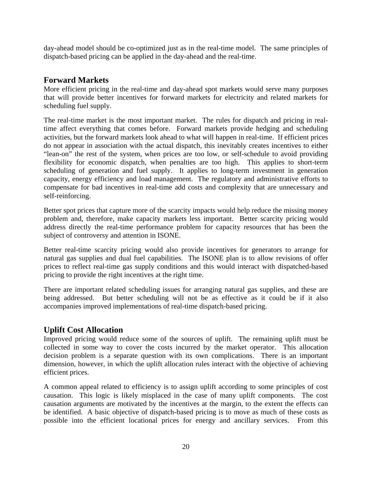day-ahead model should be co-optimized just as in the real-time model. The same principles of dispatch-based pricing can be applied in the day-ahead and the real-time.

# **Forward Markets**

More efficient pricing in the real-time and day-ahead spot markets would serve many purposes that will provide better incentives for forward markets for electricity and related markets for scheduling fuel supply.

The real-time market is the most important market. The rules for dispatch and pricing in realtime affect everything that comes before. Forward markets provide hedging and scheduling activities, but the forward markets look ahead to what will happen in real-time. If efficient prices do not appear in association with the actual dispatch, this inevitably creates incentives to either "lean-on" the rest of the system, when prices are too low, or self-schedule to avoid providing flexibility for economic dispatch, when penalties are too high. This applies to short-term scheduling of generation and fuel supply. It applies to long-term investment in generation capacity, energy efficiency and load management. The regulatory and administrative efforts to compensate for bad incentives in real-time add costs and complexity that are unnecessary and self-reinforcing.

Better spot prices that capture more of the scarcity impacts would help reduce the missing money problem and, therefore, make capacity markets less important. Better scarcity pricing would address directly the real-time performance problem for capacity resources that has been the subject of controversy and attention in ISONE.

Better real-time scarcity pricing would also provide incentives for generators to arrange for natural gas supplies and dual fuel capabilities. The ISONE plan is to allow revisions of offer prices to reflect real-time gas supply conditions and this would interact with dispatched-based pricing to provide the right incentives at the right time.

There are important related scheduling issues for arranging natural gas supplies, and these are being addressed. But better scheduling will not be as effective as it could be if it also accompanies improved implementations of real-time dispatch-based pricing.

# **Uplift Cost Allocation**

Improved pricing would reduce some of the sources of uplift. The remaining uplift must be collected in some way to cover the costs incurred by the market operator. This allocation decision problem is a separate question with its own complications. There is an important dimension, however, in which the uplift allocation rules interact with the objective of achieving efficient prices.

A common appeal related to efficiency is to assign uplift according to some principles of cost causation. This logic is likely misplaced in the case of many uplift components. The cost causation arguments are motivated by the incentives at the margin, to the extent the effects can be identified. A basic objective of dispatch-based pricing is to move as much of these costs as possible into the efficient locational prices for energy and ancillary services. From this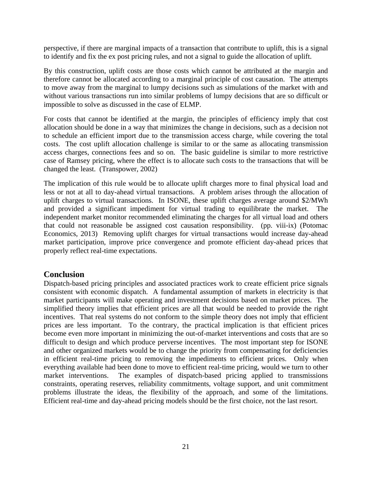perspective, if there are marginal impacts of a transaction that contribute to uplift, this is a signal to identify and fix the ex post pricing rules, and not a signal to guide the allocation of uplift.

By this construction, uplift costs are those costs which cannot be attributed at the margin and therefore cannot be allocated according to a marginal principle of cost causation. The attempts to move away from the marginal to lumpy decisions such as simulations of the market with and without various transactions run into similar problems of lumpy decisions that are so difficult or impossible to solve as discussed in the case of ELMP.

For costs that cannot be identified at the margin, the principles of efficiency imply that cost allocation should be done in a way that minimizes the change in decisions, such as a decision not to schedule an efficient import due to the transmission access charge, while covering the total costs. The cost uplift allocation challenge is similar to or the same as allocating transmission access charges, connections fees and so on. The basic guideline is similar to more restrictive case of Ramsey pricing, where the effect is to allocate such costs to the transactions that will be changed the least. (Transpower, 2002)

The implication of this rule would be to allocate uplift charges more to final physical load and less or not at all to day-ahead virtual transactions. A problem arises through the allocation of uplift charges to virtual transactions. In ISONE, these uplift charges average around \$2/MWh and provided a significant impediment for virtual trading to equilibrate the market. The independent market monitor recommended eliminating the charges for all virtual load and others that could not reasonable be assigned cost causation responsibility. (pp. viii-ix) (Potomac Economics, 2013) Removing uplift charges for virtual transactions would increase day-ahead market participation, improve price convergence and promote efficient day-ahead prices that properly reflect real-time expectations.

# **Conclusion**

Dispatch-based pricing principles and associated practices work to create efficient price signals consistent with economic dispatch. A fundamental assumption of markets in electricity is that market participants will make operating and investment decisions based on market prices. The simplified theory implies that efficient prices are all that would be needed to provide the right incentives. That real systems do not conform to the simple theory does not imply that efficient prices are less important. To the contrary, the practical implication is that efficient prices become even more important in minimizing the out-of-market interventions and costs that are so difficult to design and which produce perverse incentives. The most important step for ISONE and other organized markets would be to change the priority from compensating for deficiencies in efficient real-time pricing to removing the impediments to efficient prices. Only when everything available had been done to move to efficient real-time pricing, would we turn to other market interventions. The examples of dispatch-based pricing applied to transmissions constraints, operating reserves, reliability commitments, voltage support, and unit commitment problems illustrate the ideas, the flexibility of the approach, and some of the limitations. Efficient real-time and day-ahead pricing models should be the first choice, not the last resort.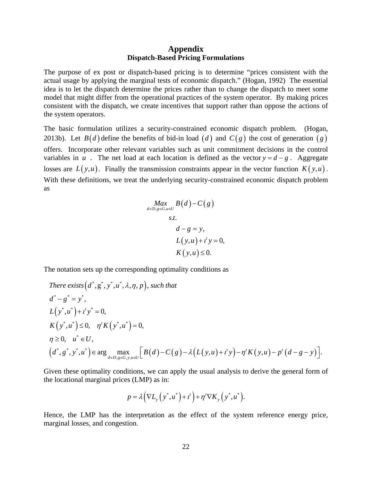### **Appendix Dispatch-Based Pricing Formulations**

The purpose of ex post or dispatch-based pricing is to determine "prices consistent with the actual usage by applying the marginal tests of economic dispatch." (Hogan, 1992) The essential idea is to let the dispatch determine the prices rather than to change the dispatch to meet some model that might differ from the operational practices of the system operator. By making prices consistent with the dispatch, we create incentives that support rather than oppose the actions of the system operators.

The basic formulation utilizes a security-constrained economic dispatch problem. (Hogan, 2013b). Let  $B(d)$  define the benefits of bid-in load  $(d)$  and  $C(g)$  the cost of generation  $(g)$ offers. Incorporate other relevant variables such as unit commitment decisions in the control variables in *u* . The net load at each location is defined as the vector  $y = d - g$ . Aggregate losses are  $L(y, u)$ . Finally the transmission constraints appear in the vector function  $K(y, u)$ . With these definitions, we treat the underlying security-constrained economic dispatch problem as

$$
\begin{aligned}\n\max_{d \in D, g \in G, u \in U} B(d) - C(g) \\
\text{s.t.} \\
d - g &= y, \\
L(y, u) + i' y &= 0, \\
K(y, u) &\le 0.\n\end{aligned}
$$

The notation sets up the corresponding optimality conditions as

There exists 
$$
(d^*, g^*, y^*, u^*, \lambda, \eta, p)
$$
, such that  
\n
$$
d^* - g^* = y^*,
$$
\n
$$
L(y^*, u^*) + t'y^* = 0,
$$
\n
$$
K(y^*, u^*) \le 0, \quad \eta^t K(y^*, u^*) = 0,
$$
\n
$$
\eta \ge 0, \quad u^* \in U,
$$
\n
$$
(d^*, g^*, y^*, u^*) \in \arg \max_{d \in D, g \in G, y, u \in U} \Big[ B(d) - C(g) - \lambda \Big( L(y, u) + t'y \Big) - \eta^t K(y, u) - p^t (d - g - y) \Big].
$$

Given these optimality conditions, we can apply the usual analysis to derive the general form of the locational marginal prices (LMP) as in:

$$
p = \lambda \left( \nabla L_y \left( y^*, u^* \right) + t' \right) + \eta^t \nabla K_y \left( y^*, u^* \right).
$$

Hence, the LMP has the interpretation as the effect of the system reference energy price, marginal losses, and congestion.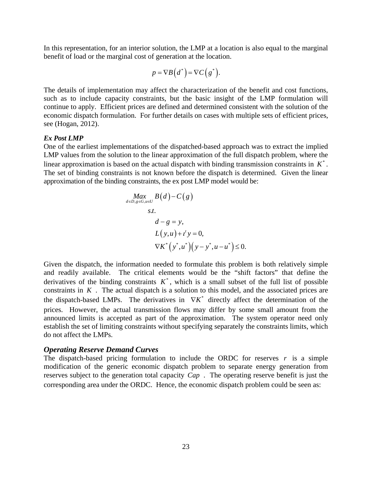In this representation, for an interior solution, the LMP at a location is also equal to the marginal benefit of load or the marginal cost of generation at the location.

$$
p = \nabla B\left(d^*\right) = \nabla C\left(g^*\right).
$$

The details of implementation may affect the characterization of the benefit and cost functions, such as to include capacity constraints, but the basic insight of the LMP formulation will continue to apply. Efficient prices are defined and determined consistent with the solution of the economic dispatch formulation. For further details on cases with multiple sets of efficient prices, see (Hogan, 2012).

#### *Ex Post LMP*

One of the earliest implementations of the dispatched-based approach was to extract the implied LMP values from the solution to the linear approximation of the full dispatch problem, where the linear approximation is based on the actual dispatch with binding transmission constraints in  $K^*$ . The set of binding constraints is not known before the dispatch is determined. Given the linear approximation of the binding constraints, the ex post LMP model would be:

$$
Max_{d \in D, g \in G, u \in U} B(d) - C(g)
$$
  
s.t.  

$$
d - g = y,
$$
  

$$
L(y, u) + t' y = 0,
$$
  

$$
\nabla K^* (y^*, u^*) (y - y^*, u - u^*) \le 0.
$$

Given the dispatch, the information needed to formulate this problem is both relatively simple and readily available. The critical elements would be the "shift factors" that define the derivatives of the binding constraints  $K^*$ , which is a small subset of the full list of possible constraints in *K*. The actual dispatch is a solution to this model, and the associated prices are the dispatch-based LMPs. The derivatives in  $\nabla K^*$  directly affect the determination of the prices. However, the actual transmission flows may differ by some small amount from the announced limits is accepted as part of the approximation. The system operator need only establish the set of limiting constraints without specifying separately the constraints limits, which do not affect the LMPs.

#### *Operating Reserve Demand Curves*

The dispatch-based pricing formulation to include the ORDC for reserves  $r$  is a simple modification of the generic economic dispatch problem to separate energy generation from reserves subject to the generation total capacity *Cap* . The operating reserve benefit is just the corresponding area under the ORDC. Hence, the economic dispatch problem could be seen as: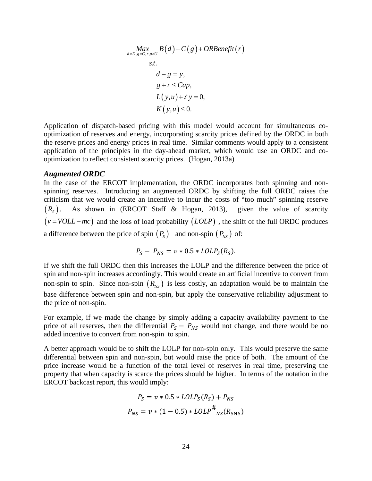$$
\begin{aligned}\nMax & B(d) - C(g) + ORBenefit(r) \\
s.t. & d - g = y, \\
& g + r \le Cap, \\
& L(y, u) + t'y = 0, \\
& K(y, u) \le 0.\n\end{aligned}
$$

Application of dispatch-based pricing with this model would account for simultaneous cooptimization of reserves and energy, incorporating scarcity prices defined by the ORDC in both the reserve prices and energy prices in real time. Similar comments would apply to a consistent application of the principles in the day-ahead market, which would use an ORDC and cooptimization to reflect consistent scarcity prices. (Hogan, 2013a)

#### *Augmented ORDC*

In the case of the ERCOT implementation, the ORDC incorporates both spinning and nonspinning reserves. Introducing an augmented ORDC by shifting the full ORDC raises the criticism that we would create an incentive to incur the costs of "too much" spinning reserve  $(R<sub>s</sub>)$ . As shown in (ERCOT Staff & Hogan, 2013), given the value of scarcity  $(v = VOLL - mc)$  and the loss of load probability  $(LOLP)$ , the shift of the full ORDC produces a difference between the price of spin  $(P<sub>S</sub>)$  and non-spin  $(P<sub>NS</sub>)$  of:

$$
P_S - P_{NS} = v * 0.5 * LOLP_S(R_S).
$$

If we shift the full ORDC then this increases the LOLP and the difference between the price of spin and non-spin increases accordingly. This would create an artificial incentive to convert from non-spin to spin. Since non-spin  $(R_{NS})$  is less costly, an adaptation would be to maintain the base difference between spin and non-spin, but apply the conservative reliability adjustment to the price of non-spin.

For example, if we made the change by simply adding a capacity availability payment to the price of all reserves, then the differential  $P_S - P_{NS}$  would not change, and there would be no added incentive to convert from non-spin to spin.

A better approach would be to shift the LOLP for non-spin only. This would preserve the same differential between spin and non-spin, but would raise the price of both. The amount of the price increase would be a function of the total level of reserves in real time, preserving the property that when capacity is scarce the prices should be higher. In terms of the notation in the ERCOT backcast report, this would imply:

$$
P_S = v * 0.5 * LOLP_S(R_S) + P_{NS}
$$
  

$$
P_{NS} = v * (1 - 0.5) * LOLP^{\#}_{NS}(R_{SNS})
$$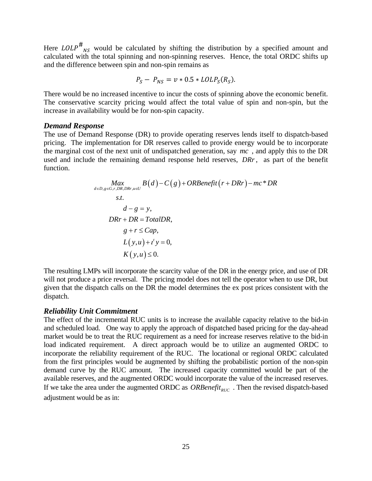Here  $LOLP$ <sup>#</sup><sub>NS</sub> would be calculated by shifting the distribution by a specified amount and calculated with the total spinning and non-spinning reserves. Hence, the total ORDC shifts up and the difference between spin and non-spin remains as

$$
P_S - P_{NS} = \nu * 0.5 * LOLP_S(R_S).
$$

There would be no increased incentive to incur the costs of spinning above the economic benefit. The conservative scarcity pricing would affect the total value of spin and non-spin, but the increase in availability would be for non-spin capacity.

#### *Demand Response*

The use of Demand Response (DR) to provide operating reserves lends itself to dispatch-based pricing. The implementation for DR reserves called to provide energy would be to incorporate the marginal cost of the next unit of undispatched generation, say *mc* , and apply this to the DR used and include the remaining demand response held reserves, *DRr*, as part of the benefit function.

$$
\begin{aligned}\nMax & Max & B(d) - C(g) + ORBenefit(r + DRr) - mc * DR \\
\text{s.t.} & d - g = y, \\
DRr + DR & = TotalDR, \\
& g + r \le Cap, \\
& L(y, u) + t' y = 0, \\
& K(y, u) \le 0.\n\end{aligned}
$$

The resulting LMPs will incorporate the scarcity value of the DR in the energy price, and use of DR will not produce a price reversal. The pricing model does not tell the operator when to use DR, but given that the dispatch calls on the DR the model determines the ex post prices consistent with the dispatch.

#### *Reliability Unit Commitment*

The effect of the incremental RUC units is to increase the available capacity relative to the bid-in and scheduled load. One way to apply the approach of dispatched based pricing for the day-ahead market would be to treat the RUC requirement as a need for increase reserves relative to the bid-in load indicated requirement. A direct approach would be to utilize an augmented ORDC to incorporate the reliability requirement of the RUC. The locational or regional ORDC calculated from the first principles would be augmented by shifting the probabilistic portion of the non-spin demand curve by the RUC amount. The increased capacity committed would be part of the available reserves, and the augmented ORDC would incorporate the value of the increased reserves. If we take the area under the augmented ORDC as  $ORBenefit_{RUC}$ . Then the revised dispatch-based adjustment would be as in: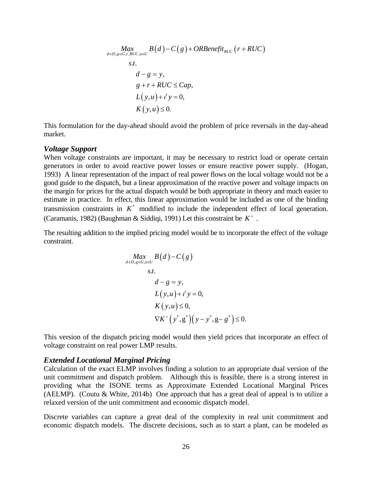$$
\begin{aligned}\n\max_{d \in D, g \in G, r, RUC, u \in U} B(d) - C(g) + ORBenefit_{RUC} (r + RUC) \\
\text{s.t.} \\
d - g &= y, \\
g + r + RUC &\le Cap, \\
L(y, u) + t'y &= 0, \\
K(y, u) &\le 0.\n\end{aligned}
$$

This formulation for the day-ahead should avoid the problem of price reversals in the day-ahead market.

#### *Voltage Support*

When voltage constraints are important, it may be necessary to restrict load or operate certain generators in order to avoid reactive power losses or ensure reactive power supply. (Hogan, 1993) A linear representation of the impact of real power flows on the local voltage would not be a good guide to the dispatch, but a linear approximation of the reactive power and voltage impacts on the margin for prices for the actual dispatch would be both appropriate in theory and much easier to estimate in practice. In effect, this linear approximation would be included as one of the binding transmission constraints in  $K^*$  modified to include the independent effect of local generation. (Caramanis, 1982) (Baughman & Siddiqi, 1991) Let this constraint be  $K^+$ .

The resulting addition to the implied pricing model would be to incorporate the effect of the voltage constraint.

$$
Max_{d \in D, g \in G, u \in U} B(d) - C(g)
$$
  
s.t.  

$$
d - g = y,
$$
  

$$
L(y, u) + t' y = 0,
$$
  

$$
K(y, u) \le 0,
$$
  

$$
\nabla K^+(y^*, g^*)(y - y^*, g - g^*) \le 0.
$$

This version of the dispatch pricing model would then yield prices that incorporate an effect of voltage constraint on real power LMP results.

#### *Extended Locational Marginal Pricing*

Calculation of the exact ELMP involves finding a solution to an appropriate dual version of the unit commitment and dispatch problem. Although this is feasible, there is a strong interest in providing what the ISONE terms as Approximate Extended Locational Marginal Prices (AELMP). (Coutu & White, 2014b) One approach that has a great deal of appeal is to utilize a relaxed version of the unit commitment and economic dispatch model.

Discrete variables can capture a great deal of the complexity in real unit commitment and economic dispatch models. The discrete decisions, such as to start a plant, can be modeled as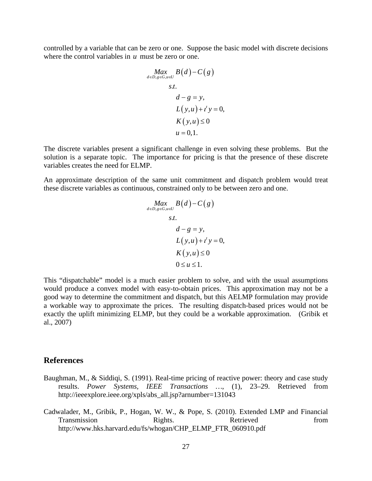controlled by a variable that can be zero or one. Suppose the basic model with discrete decisions where the control variables in *u* must be zero or one.

$$
Max_{d \in D, g \in G, u \in U} B(d) - C(g)
$$
  
s.t.  

$$
d - g = y,
$$
  

$$
L(y, u) + t' y = 0,
$$
  

$$
K(y, u) \le 0
$$
  

$$
u = 0, 1.
$$

The discrete variables present a significant challenge in even solving these problems. But the solution is a separate topic. The importance for pricing is that the presence of these discrete variables creates the need for ELMP.

An approximate description of the same unit commitment and dispatch problem would treat these discrete variables as continuous, constrained only to be between zero and one.

$$
Max_{d \in D, g \in G, u \in U} B(d) - C(g)
$$
  
s.t.  

$$
d - g = y,
$$
  

$$
L(y, u) + t' y = 0,
$$
  

$$
K(y, u) \le 0
$$
  

$$
0 \le u \le 1.
$$

This "dispatchable" model is a much easier problem to solve, and with the usual assumptions would produce a convex model with easy-to-obtain prices. This approximation may not be a good way to determine the commitment and dispatch, but this AELMP formulation may provide a workable way to approximate the prices. The resulting dispatch-based prices would not be exactly the uplift minimizing ELMP, but they could be a workable approximation. (Gribik et al., 2007)

### **References**

- Baughman, M., & Siddiqi, S. (1991). Real-time pricing of reactive power: theory and case study results. *Power Systems, IEEE Transactions …*, (1), 23–29. Retrieved from http://ieeexplore.ieee.org/xpls/abs\_all.jsp?arnumber=131043
- Cadwalader, M., Gribik, P., Hogan, W. W., & Pope, S. (2010). Extended LMP and Financial Transmission **Rights.** Rights. Retrieved **Retrieved** from http://www.hks.harvard.edu/fs/whogan/CHP\_ELMP\_FTR\_060910.pdf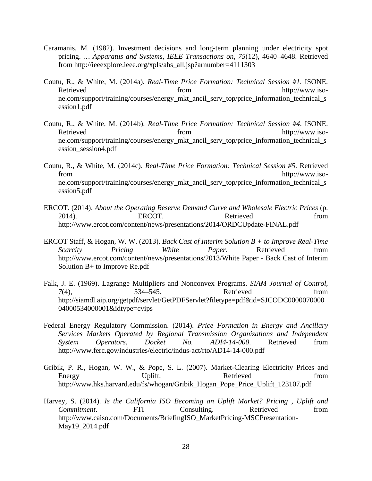- Caramanis, M. (1982). Investment decisions and long-term planning under electricity spot pricing. *… Apparatus and Systems, IEEE Transactions on*, *75*(12), 4640–4648. Retrieved from http://ieeexplore.ieee.org/xpls/abs\_all.jsp?arnumber=4111303
- Coutu, R., & White, M. (2014a). *Real-Time Price Formation: Technical Session #1*. ISONE. Retrieved from from http://www.isone.com/support/training/courses/energy\_mkt\_ancil\_serv\_top/price\_information\_technical\_s ession1.pdf
- Coutu, R., & White, M. (2014b). *Real-Time Price Formation: Technical Session #4*. ISONE. Retrieved from from http://www.isone.com/support/training/courses/energy\_mkt\_ancil\_serv\_top/price\_information\_technical\_s ession session4.pdf
- Coutu, R., & White, M. (2014c). *Real-Time Price Formation: Technical Session #5*. Retrieved from http://www.isone.com/support/training/courses/energy\_mkt\_ancil\_serv\_top/price\_information\_technical\_s ession5.pdf
- ERCOT. (2014). *About the Operating Reserve Demand Curve and Wholesale Electric Prices* (p. 2014). ERCOT. Retrieved from http://www.ercot.com/content/news/presentations/2014/ORDCUpdate-FINAL.pdf
- ERCOT Staff, & Hogan, W. W. (2013). *Back Cast of Interim Solution B + to Improve Real-Time Scarcity Pricing White Paper*. Retrieved from http://www.ercot.com/content/news/presentations/2013/White Paper - Back Cast of Interim Solution B+ to Improve Re.pdf
- Falk, J. E. (1969). Lagrange Multipliers and Nonconvex Programs. *SIAM Journal of Control*, *7*(4), 534–545. Retrieved from http://siamdl.aip.org/getpdf/servlet/GetPDFServlet?filetype=pdf&id=SJCODC0000070000 04000534000001&idtype=cvips
- Federal Energy Regulatory Commission. (2014). *Price Formation in Energy and Ancillary Services Markets Operated by Regional Transmission Organizations and Independent System Operators, Docket No. ADI4-14-000*. Retrieved from http://www.ferc.gov/industries/electric/indus-act/rto/AD14-14-000.pdf
- Gribik, P. R., Hogan, W. W., & Pope, S. L. (2007). Market-Clearing Electricity Prices and Energy Uplift. Suppose Uplift. The Retrieved from http://www.hks.harvard.edu/fs/whogan/Gribik\_Hogan\_Pope\_Price\_Uplift\_123107.pdf
- Harvey, S. (2014). *Is the California ISO Becoming an Uplift Market? Pricing , Uplift and Commitment*. FTI Consulting. Retrieved from http://www.caiso.com/Documents/BriefingISO\_MarketPricing-MSCPresentation-May19\_2014.pdf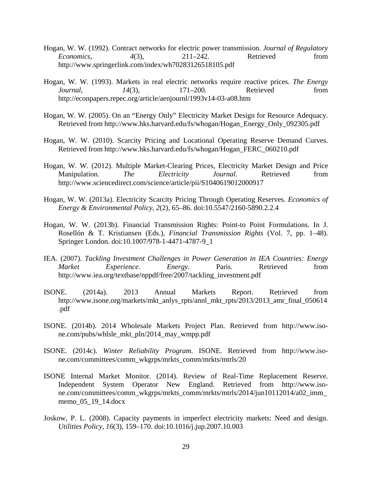- Hogan, W. W. (1992). Contract networks for electric power transmission. *Journal of Regulatory Economics*, *4*(3), 211–242. Retrieved from http://www.springerlink.com/index/wh70283126518105.pdf
- Hogan, W. W. (1993). Markets in real electric networks require reactive prices. *The Energy Journal*, *14*(3), 171–200. Retrieved from http://econpapers.repec.org/article/aenjournl/1993v14-03-a08.htm
- Hogan, W. W. (2005). On an "Energy Only" Electricity Market Design for Resource Adequacy. Retrieved from http://www.hks.harvard.edu/fs/whogan/Hogan\_Energy\_Only\_092305.pdf
- Hogan, W. W. (2010). Scarcity Pricing and Locational Operating Reserve Demand Curves. Retrieved from http://www.hks.harvard.edu/fs/whogan/Hogan\_FERC\_060210.pdf
- Hogan, W. W. (2012). Multiple Market-Clearing Prices, Electricity Market Design and Price Manipulation. *The Electricity Journal*. Retrieved from http://www.sciencedirect.com/science/article/pii/S1040619012000917
- Hogan, W. W. (2013a). Electricity Scarcity Pricing Through Operating Reserves. *Economics of Energy & Environmental Policy*, *2*(2), 65–86. doi:10.5547/2160-5890.2.2.4
- Hogan, W. W. (2013b). Financial Transmission Rights: Point-to Point Formulations. In J. Rosellón & T. Kristiansen (Eds.), *Financial Transmission Rights* (Vol. 7, pp. 1–48). Springer London. doi:10.1007/978-1-4471-4787-9\_1
- IEA. (2007). *Tackling Investment Challenges in Power Generation in IEA Countries: Energy Market Experience*. *Energy*. Paris. Retrieved from http://www.iea.org/textbase/nppdf/free/2007/tackling\_investment.pdf
- ISONE. (2014a). 2013 Annual Markets Report. Retrieved from http://www.isone.org/markets/mkt\_anlys\_rpts/annl\_mkt\_rpts/2013/2013\_amr\_final\_050614 .pdf
- ISONE. (2014b). 2014 Wholesale Markets Project Plan. Retrieved from http://www.isone.com/pubs/whlsle\_mkt\_pln/2014\_may\_wmpp.pdf
- ISONE. (2014c). *Winter Reliability Program*. ISONE. Retrieved from http://www.isone.com/committees/comm\_wkgrps/mrkts\_comm/mrkts/mtrls/20
- ISONE Internal Market Monitor. (2014). Review of Real-Time Replacement Reserve. Independent System Operator New England. Retrieved from http://www.isone.com/committees/comm\_wkgrps/mrkts\_comm/mrkts/mtrls/2014/jun10112014/a02\_imm\_ memo 05 19 14.docx
- Joskow, P. L. (2008). Capacity payments in imperfect electricity markets: Need and design. *Utilities Policy*, *16*(3), 159–170. doi:10.1016/j.jup.2007.10.003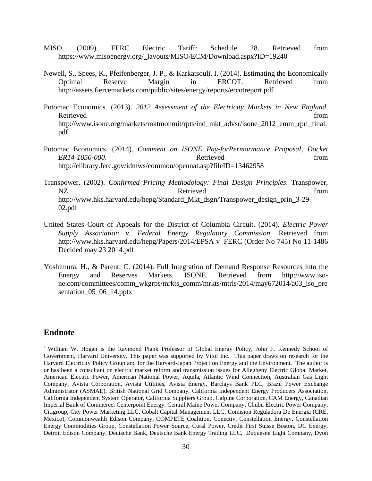- MISO. (2009). FERC Electric Tariff: Schedule 28. Retrieved from https://www.misoenergy.org/\_layouts/MISO/ECM/Download.aspx?ID=19240
- Newell, S., Spees, K., Pfeifenberger, J. P., & Karkatsouli, I. (2014). Estimating the Economically Optimal Reserve Margin in ERCOT. Retrieved from http://assets.fiercemarkets.com/public/sites/energy/reports/ercotreport.pdf
- Potomac Economics. (2013). *2012 Assessment of the Electricity Markets in New England*. Retrieved from the state of the state of the state of the state of the state of the state of the state of the state of the state of the state of the state of the state of the state of the state of the state of the state of http://www.isone.org/markets/mktmonmit/rpts/ind\_mkt\_advsr/isone\_2012\_emm\_rprt\_final. pdf
- Potomac Economics. (2014). *Comment on ISONE Pay-forPermormance Proposal, Docket ER14-1050-000*. Retrieved *Reference <b>Reframework Reference <b>Reframework Retrieved Reference <b>Reframework Reframework Reframework Reframework Reframework Reframework Reframework Re* http://elibrary.ferc.gov/idmws/common/opennat.asp?fileID=13462958
- Transpower. (2002). *Confirmed Pricing Methodology: Final Design Principles*. Transpower, NZ. Some research retrieved from the set of  $\mathbb{R}$  and  $\mathbb{R}$  are set of  $\mathbb{R}$  from the set of  $\mathbb{R}$  and  $\mathbb{R}$  are set of  $\mathbb{R}$  and  $\mathbb{R}$  are set of  $\mathbb{R}$  and  $\mathbb{R}$  are set of  $\mathbb{R}$  and  $\mathbb{R}$ http://www.hks.harvard.edu/hepg/Standard\_Mkt\_dsgn/Transpower\_design\_prin\_3-29- 02.pdf
- United States Court of Appeals for the District of Columbia Circuit. (2014). *Electric Power Supply Association v. Federal Energy Regulatory Commission*. Retrieved from http://www.hks.harvard.edu/hepg/Papers/2014/EPSA v FERC (Order No 745) No 11-1486 Decided may 23 2014.pdf
- Yoshimura, H., & Parent, C. (2014). Full Integration of Demand Response Resources into the Energy and Reserves Markets. ISONE. Retrieved from http://www.isone.com/committees/comm\_wkgrps/mrkts\_comm/mrkts/mtrls/2014/may672014/a03\_iso\_pre sentation 05 06 14.pptx

### **Endnote**

 $\overline{a}$ 

<sup>&</sup>lt;sup>i</sup> William W. Hogan is the Raymond Plank Professor of Global Energy Policy, John F. Kennedy School of Government, Harvard University. This paper was supported by Vitol Inc. This paper draws on research for the Harvard Electricity Policy Group and for the Harvard-Japan Project on Energy and the Environment. The author is or has been a consultant on electric market reform and transmission issues for Allegheny Electric Global Market, American Electric Power, American National Power, Aquila, Atlantic Wind Connection, Australian Gas Light Company, Avista Corporation, Avista Utilities, Avista Energy, Barclays Bank PLC, Brazil Power Exchange Administrator (ASMAE), British National Grid Company, California Independent Energy Producers Association, California Independent System Operator, California Suppliers Group, Calpine Corporation, CAM Energy, Canadian Imperial Bank of Commerce, Centerpoint Energy, Central Maine Power Company, Chubu Electric Power Company, Citigroup, City Power Marketing LLC, Cobalt Capital Management LLC, Comision Reguladora De Energia (CRE, Mexico), Commonwealth Edison Company, COMPETE Coalition, Conectiv, Constellation Energy, Constellation Energy Commodities Group, Constellation Power Source, Coral Power, Credit First Suisse Boston, DC Energy, Detroit Edison Company, Deutsche Bank, Deutsche Bank Energy Trading LLC, Duquesne Light Company, Dyon